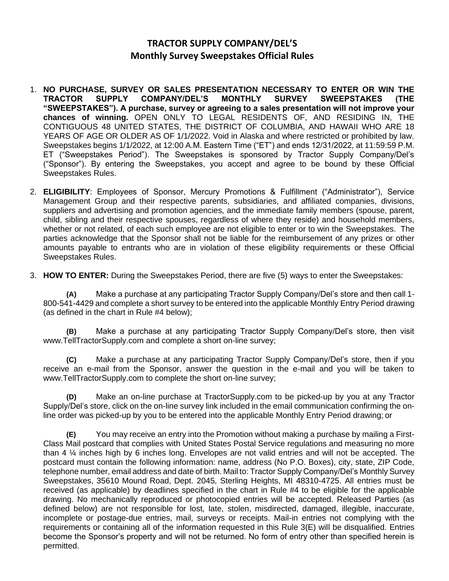## **TRACTOR SUPPLY COMPANY/DEL'S Monthly Survey Sweepstakes Official Rules**

- 1. **NO PURCHASE, SURVEY OR SALES PRESENTATION NECESSARY TO ENTER OR WIN THE TRACTOR SUPPLY COMPANY/DEL'S MONTHLY SURVEY SWEEPSTAKES (THE "SWEEPSTAKES"). A purchase, survey or agreeing to a sales presentation will not improve your chances of winning.** OPEN ONLY TO LEGAL RESIDENTS OF, AND RESIDING IN, THE CONTIGUOUS 48 UNITED STATES, THE DISTRICT OF COLUMBIA, AND HAWAII WHO ARE 18 YEARS OF AGE OR OLDER AS OF 1/1/2022. Void in Alaska and where restricted or prohibited by law. Sweepstakes begins 1/1/2022, at 12:00 A.M. Eastern Time ("ET") and ends 12/31/2022, at 11:59:59 P.M. ET ("Sweepstakes Period"). The Sweepstakes is sponsored by Tractor Supply Company/Del's ("Sponsor"). By entering the Sweepstakes, you accept and agree to be bound by these Official Sweepstakes Rules.
- 2. **ELIGIBILITY**: Employees of Sponsor, Mercury Promotions & Fulfillment ("Administrator"), Service Management Group and their respective parents, subsidiaries, and affiliated companies, divisions, suppliers and advertising and promotion agencies, and the immediate family members (spouse, parent, child, sibling and their respective spouses, regardless of where they reside) and household members, whether or not related, of each such employee are not eligible to enter or to win the Sweepstakes. The parties acknowledge that the Sponsor shall not be liable for the reimbursement of any prizes or other amounts payable to entrants who are in violation of these eligibility requirements or these Official Sweepstakes Rules.

3. **HOW TO ENTER:** During the Sweepstakes Period, there are five (5) ways to enter the Sweepstakes:

**(A)** Make a purchase at any participating Tractor Supply Company/Del's store and then call 1- 800-541-4429 and complete a short survey to be entered into the applicable Monthly Entry Period drawing (as defined in the chart in Rule #4 below);

**(B)** Make a purchase at any participating Tractor Supply Company/Del's store, then visit [www.TellTractorSupply.com a](http://www.telltractorsupply.com/)nd complete a short on-line survey;

**(C)** Make a purchase at any participating Tractor Supply Company/Del's store, then if you receive an e-mail from the Sponsor, answer the question in the e-mail and you will be taken to [www.TellTractorSupply.com t](http://www.telltractorsupply.com/)o complete the short on-line survey;

**(D)** Make an on-line purchase at TractorSupply.com to be picked-up by you at any Tractor Supply/Del's store, click on the on-line survey link included in the email communication confirming the online order was picked-up by you to be entered into the applicable Monthly Entry Period drawing; or

**(E)** You may receive an entry into the Promotion without making a purchase by mailing a First-Class Mail postcard that complies with United States Postal Service regulations and measuring no more than 4 ¼ inches high by 6 inches long. Envelopes are not valid entries and will not be accepted. The postcard must contain the following information: name, address (No P.O. Boxes), city, state, ZIP Code, telephone number, email address and date of birth. Mail to: Tractor Supply Company/Del's Monthly Survey Sweepstakes, 35610 Mound Road, Dept. 2045, Sterling Heights, MI 48310-4725. All entries must be received (as applicable) by deadlines specified in the chart in Rule #4 to be eligible for the applicable drawing. No mechanically reproduced or photocopied entries will be accepted. Released Parties (as defined below) are not responsible for lost, late, stolen, misdirected, damaged, illegible, inaccurate, incomplete or postage-due entries, mail, surveys or receipts. Mail-in entries not complying with the requirements or containing all of the information requested in this Rule 3(E) will be disqualified. Entries become the Sponsor's property and will not be returned. No form of entry other than specified herein is permitted.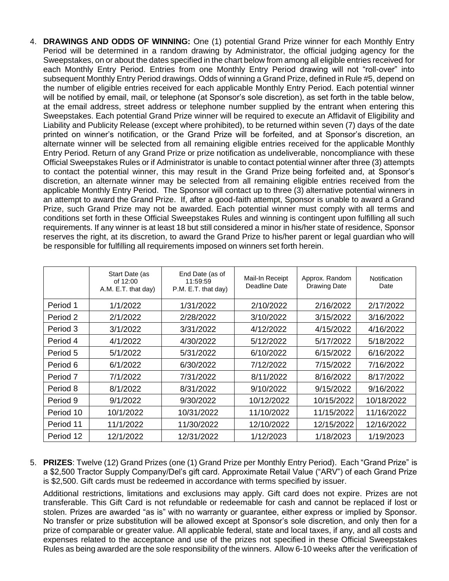4. **DRAWINGS AND ODDS OF WINNING:** One (1) potential Grand Prize winner for each Monthly Entry Period will be determined in a random drawing by Administrator, the official judging agency for the Sweepstakes, on or about the dates specified in the chart below from among all eligible entries received for each Monthly Entry Period. Entries from one Monthly Entry Period drawing will not "roll-over" into subsequent Monthly Entry Period drawings. Odds of winning a Grand Prize, defined in Rule #5, depend on the number of eligible entries received for each applicable Monthly Entry Period. Each potential winner will be notified by email, mail, or telephone (at Sponsor's sole discretion), as set forth in the table below, at the email address, street address or telephone number supplied by the entrant when entering this Sweepstakes. Each potential Grand Prize winner will be required to execute an Affidavit of Eligibility and Liability and Publicity Release (except where prohibited), to be returned within seven (7) days of the date printed on winner's notification, or the Grand Prize will be forfeited, and at Sponsor's discretion, an alternate winner will be selected from all remaining eligible entries received for the applicable Monthly Entry Period. Return of any Grand Prize or prize notification as undeliverable, noncompliance with these Official Sweepstakes Rules or if Administrator is unable to contact potential winner after three (3) attempts to contact the potential winner, this may result in the Grand Prize being forfeited and, at Sponsor's discretion, an alternate winner may be selected from all remaining eligible entries received from the applicable Monthly Entry Period. The Sponsor will contact up to three (3) alternative potential winners in an attempt to award the Grand Prize. If, after a good-faith attempt, Sponsor is unable to award a Grand Prize, such Grand Prize may not be awarded. Each potential winner must comply with all terms and conditions set forth in these Official Sweepstakes Rules and winning is contingent upon fulfilling all such requirements. If any winner is at least 18 but still considered a minor in his/her state of residence, Sponsor reserves the right, at its discretion, to award the Grand Prize to his/her parent or legal guardian who will be responsible for fulfilling all requirements imposed on winners set forth herein.

|           | Start Date (as<br>of $12:00$<br>A.M. E.T. that day) | End Date (as of<br>11:59:59<br>P.M. E.T. that day) | Mail-In Receipt<br>Deadline Date | Approx. Random<br><b>Drawing Date</b> | Notification<br>Date |
|-----------|-----------------------------------------------------|----------------------------------------------------|----------------------------------|---------------------------------------|----------------------|
| Period 1  | 1/1/2022                                            | 1/31/2022                                          | 2/10/2022                        | 2/16/2022                             | 2/17/2022            |
| Period 2  | 2/1/2022                                            | 2/28/2022                                          | 3/10/2022                        | 3/15/2022                             | 3/16/2022            |
| Period 3  | 3/1/2022                                            | 3/31/2022                                          | 4/12/2022                        | 4/15/2022                             | 4/16/2022            |
| Period 4  | 4/1/2022                                            | 4/30/2022                                          | 5/12/2022                        | 5/17/2022                             | 5/18/2022            |
| Period 5  | 5/1/2022                                            | 5/31/2022                                          | 6/10/2022                        | 6/15/2022                             | 6/16/2022            |
| Period 6  | 6/1/2022                                            | 6/30/2022                                          | 7/12/2022                        | 7/15/2022                             | 7/16/2022            |
| Period 7  | 7/1/2022                                            | 7/31/2022                                          | 8/11/2022                        | 8/16/2022                             | 8/17/2022            |
| Period 8  | 8/1/2022                                            | 8/31/2022                                          | 9/10/2022                        | 9/15/2022                             | 9/16/2022            |
| Period 9  | 9/1/2022                                            | 9/30/2022                                          | 10/12/2022                       | 10/15/2022                            | 10/18/2022           |
| Period 10 | 10/1/2022                                           | 10/31/2022                                         | 11/10/2022                       | 11/15/2022                            | 11/16/2022           |
| Period 11 | 11/1/2022                                           | 11/30/2022                                         | 12/10/2022                       | 12/15/2022                            | 12/16/2022           |
| Period 12 | 12/1/2022                                           | 12/31/2022                                         | 1/12/2023                        | 1/18/2023                             | 1/19/2023            |

5. **PRIZES**: Twelve (12) Grand Prizes (one (1) Grand Prize per Monthly Entry Period). Each "Grand Prize" is a \$2,500 Tractor Supply Company/Del's gift card. Approximate Retail Value ("ARV") of each Grand Prize is \$2,500. Gift cards must be redeemed in accordance with terms specified by issuer.

Additional restrictions, limitations and exclusions may apply. Gift card does not expire. Prizes are not transferable. This Gift Card is not refundable or redeemable for cash and cannot be replaced if lost or stolen. Prizes are awarded "as is" with no warranty or guarantee, either express or implied by Sponsor. No transfer or prize substitution will be allowed except at Sponsor's sole discretion, and only then for a prize of comparable or greater value. All applicable federal, state and local taxes, if any, and all costs and expenses related to the acceptance and use of the prizes not specified in these Official Sweepstakes Rules as being awarded are the sole responsibility of the winners. Allow 6-10 weeks after the verification of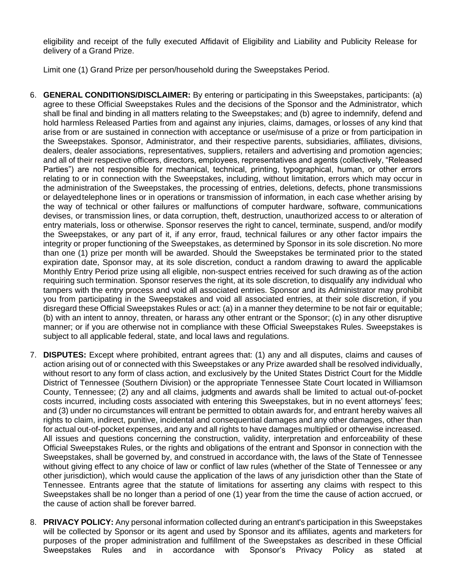eligibility and receipt of the fully executed Affidavit of Eligibility and Liability and Publicity Release for delivery of a Grand Prize.

Limit one (1) Grand Prize per person/household during the Sweepstakes Period.

- 6. **GENERAL CONDITIONS/DISCLAIMER:** By entering or participating in this Sweepstakes, participants: (a) agree to these Official Sweepstakes Rules and the decisions of the Sponsor and the Administrator, which shall be final and binding in all matters relating to the Sweepstakes; and (b) agree to indemnify, defend and hold harmless Released Parties from and against any injuries, claims, damages, orlosses of any kind that arise from or are sustained in connection with acceptance or use/misuse of a prize or from participation in the Sweepstakes. Sponsor, Administrator, and their respective parents, subsidiaries, affiliates, divisions, dealers, dealer associations, representatives, suppliers, retailers and advertising and promotion agencies; and all of their respective officers, directors, employees, representatives and agents (collectively, "Released Parties") are not responsible for mechanical, technical, printing, typographical, human, or other errors relating to or in connection with the Sweepstakes, including, without limitation, errors which may occur in the administration of the Sweepstakes, the processing of entries, deletions, defects, phone transmissions or delayedtelephone lines or in operations or transmission of information, in each case whether arising by the way of technical or other failures or malfunctions of computer hardware, software, communications devises, or transmission lines, or data corruption, theft, destruction, unauthorized access to or alteration of entry materials, loss or otherwise. Sponsor reserves the right to cancel, terminate, suspend, and/or modify the Sweepstakes, or any part of it, if any error, fraud, technical failures or any other factor impairs the integrity or proper functioning of the Sweepstakes, as determined by Sponsor in its sole discretion. No more than one (1) prize per month will be awarded. Should the Sweepstakes be terminated prior to the stated expiration date, Sponsor may, at its sole discretion, conduct a random drawing to award the applicable Monthly Entry Period prize using all eligible, non-suspect entries received for such drawing as of the action requiring such termination. Sponsor reserves the right, at its sole discretion, to disqualify any individual who tampers with the entry process and void all associated entries. Sponsor and its Administrator may prohibit you from participating in the Sweepstakes and void all associated entries, at their sole discretion, if you disregard these Official Sweepstakes Rules or act: (a) in a manner they determine to be not fair or equitable; (b) with an intent to annoy, threaten, or harass any other entrant or the Sponsor; (c) in any other disruptive manner; or if you are otherwise not in compliance with these Official Sweepstakes Rules. Sweepstakes is subject to all applicable federal, state, and local laws and regulations.
- 7. **DISPUTES:** Except where prohibited, entrant agrees that: (1) any and all disputes, claims and causes of action arising out of or connected with this Sweepstakes or any Prize awarded shall be resolved individually, without resort to any form of class action, and exclusively by the United States District Court for the Middle District of Tennessee (Southern Division) or the appropriate Tennessee State Court located in Williamson County, Tennessee; (2) any and all claims, judgments and awards shall be limited to actual out-of-pocket costs incurred, including costs associated with entering this Sweepstakes, but in no event attorneys' fees; and (3) under no circumstances will entrant be permitted to obtain awards for, and entrant hereby waives all rights to claim, indirect, punitive, incidental and consequential damages and any other damages, other than for actual out-of-pocket expenses, and any and all rights to have damages multiplied or otherwise increased. All issues and questions concerning the construction, validity, interpretation and enforceability of these Official Sweepstakes Rules, or the rights and obligations of the entrant and Sponsor in connection with the Sweepstakes, shall be governed by, and construed in accordance with, the laws of the State of Tennessee without giving effect to any choice of law or conflict of law rules (whether of the State of Tennessee or any other jurisdiction), which would cause the application of the laws of any jurisdiction other than the State of Tennessee. Entrants agree that the statute of limitations for asserting any claims with respect to this Sweepstakes shall be no longer than a period of one (1) year from the time the cause of action accrued, or the cause of action shall be forever barred.
- 8. **PRIVACY POLICY:** Any personal information collected during an entrant's participation in this Sweepstakes will be collected by Sponsor or its agent and used by Sponsor and its affiliates, agents and marketers for purposes of the proper administration and fulfillment of the Sweepstakes as described in these Official Sweepstakes Rules and in accordance with Sponsor's Privacy Policy as stated at